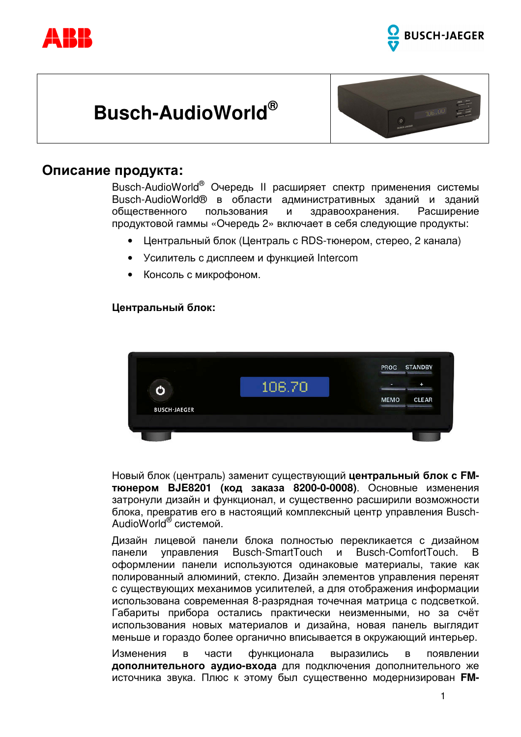





### Описание продукта:

Busch-AudioWorld® Очередь II расширяет спектр применения системы Busch-AudioWorld® в области административных зданий и зданий пользования здравоохранения. общественного И Расширение продуктовой гаммы «Очередь 2» включает в себя следующие продукты:

- Центральный блок (Централь с RDS-тюнером, стерео, 2 канала)
- Усилитель с дисплеем и функцией Intercom
- Консоль с микрофоном.

#### Центральный блок:



Новый блок (централь) заменит существующий центральный блок с FMтюнером ВЈЕ8201 (код заказа 8200-0-0008). Основные изменения затронули дизайн и функционал, и существенно расширили возможности блока, превратив его в настоящий комплексный центр управления Busch-AudioWorld® системой.

Дизайн лицевой панели блока полностью перекликается с дизайном Busch-ComfortTouch. управления Busch-SmartTouch И B. панели оформлении панели используются одинаковые материалы, такие как полированный алюминий, стекло. Дизайн элементов управления перенят с существующих механимов усилителей, а для отображения информации использована современная 8-разрядная точечная матрица с подсветкой. Габариты прибора остались практически неизменными, но за счёт использования новых материалов и дизайна, новая панель выглядит меньше и гораздо более органично вписывается в окружающий интерьер.

Изменения  $\overline{B}$ части функционала выразились B появлении дополнительного аудио-входа для подключения дополнительного же источника звука. Плюс к этому был существенно модернизирован FM-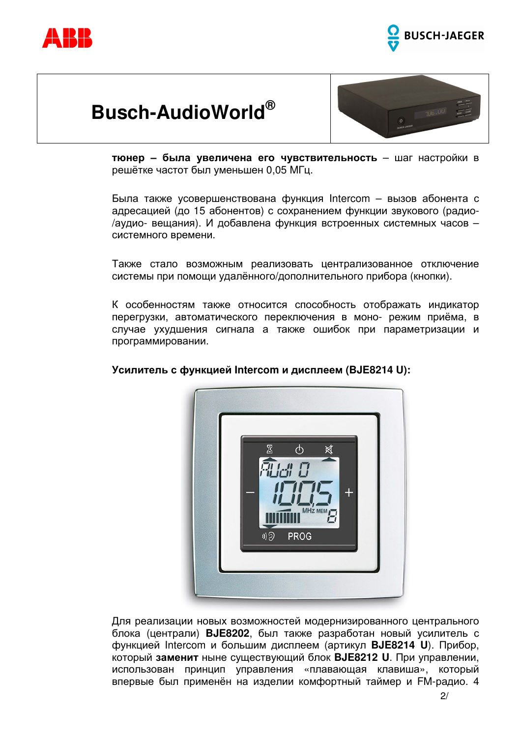





тюнер - была увеличена его чувствительность - шаг настройки в решётке частот был уменьшен 0.05 МГц.

Была также усовершенствована функция Intercom - вызов абонента с адресацией (до 15 абонентов) с сохранением функции звукового (радио-/аудио- вещания). И добавлена функция встроенных системных часов системного времени.

Также стало возможным реализовать централизованное отключение системы при помощи удалённого/дополнительного прибора (кнопки).

К особенностям также относится способность отображать индикатор перегрузки, автоматического переключения в моно- режим приёма, в случае ухудшения сигнала а также ошибок при параметризации и программировании.



#### Усилитель с функцией Intercom и дисплеем (BJE8214 U):

Для реализации новых возможностей модернизированного центрального блока (централи) ВЈЕ8202, был также разработан новый усилитель с функцией Intercom и большим дисплеем (артикул **BJE8214 U**). Прибор, который заменит ныне существующий блок **BJE8212 U**. При управлении, использован принцип управления «плавающая клавиша», который впервые был применён на изделии комфортный таймер и FM-радио. 4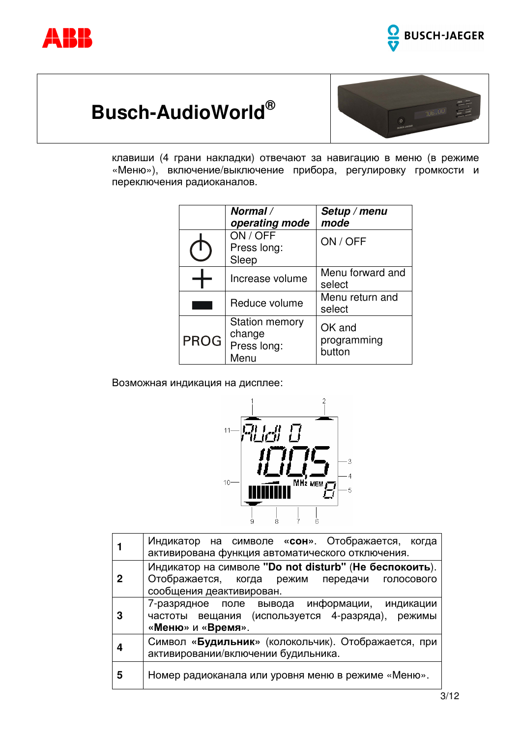





клавиши (4 грани накладки) отвечают за навигацию в меню (в режиме «Меню»), включение/выключение прибора, регулировку громкости и переключения радиоканалов.

|             | Normal /<br>operating mode                             | Setup / menu<br>mode            |
|-------------|--------------------------------------------------------|---------------------------------|
|             | ON / OFF<br>Press long:<br>Sleep                       | ON / OFF                        |
|             | Increase volume                                        | Menu forward and<br>select      |
|             | Reduce volume                                          | Menu return and<br>select       |
| <b>PROG</b> | <b>Station memory</b><br>change<br>Press long:<br>Menu | OK and<br>programming<br>button |

Возможная индикация на дисплее:



|   | Индикатор на символе «сон». Отображается, когда<br>активирована функция автоматического отключения.                                 |  |
|---|-------------------------------------------------------------------------------------------------------------------------------------|--|
| 2 | Индикатор на символе "Do not disturb" (Не беспокоить).<br>Отображается, когда режим передачи голосового<br>сообщения деактивирован. |  |
|   | 7-разрядное поле вывода информации, индикации<br>частоты вещания (используется 4-разряда), режимы<br>«Меню» и «Время».              |  |
|   | Символ «Будильник» (колокольчик). Отображается, при<br>активировании/включении будильника.                                          |  |
| 5 | Номер радиоканала или уровня меню в режиме «Меню».                                                                                  |  |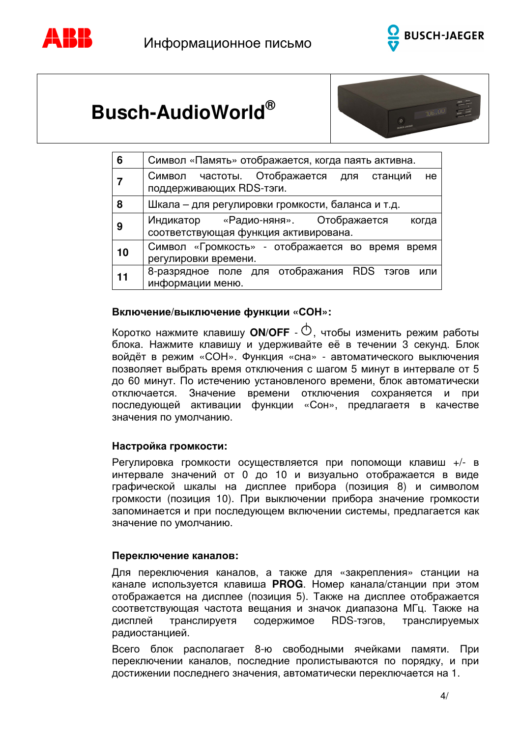





| 6  | Символ «Память» отображается, когда паять активна.                                     |  |  |
|----|----------------------------------------------------------------------------------------|--|--|
|    | Символ частоты. Отображается для станций<br>He<br>поддерживающих RDS-тэги.             |  |  |
| 8  | Шкала – для регулировки громкости, баланса и т.д.                                      |  |  |
| 9  | Индикатор «Радио-няня». Отображается<br>когда<br>соответствующая функция активирована. |  |  |
| 10 | Символ «Громкость» - отображается во время время<br>регулировки времени.               |  |  |
| 11 | 8-разрядное поле для отображания RDS тэгов или<br>информации меню.                     |  |  |

#### Включение/выключение функции «СОН»:

Коротко нажмите клавишу **ON/OFF** -  $\circledcirc$ , чтобы изменить режим работы блока. Нажмите клавишу и удерживайте её в течении 3 секунд. Блок войдёт в режим «СОН». Функция «сна» - автоматического выключения позволяет выбрать время отключения с шагом 5 минут в интервале от 5 до 60 минут. По истечению установленого времени, блок автоматически отключается. Значение времени отключения сохраняется и при последующей активации функции «Сон», предлагаетя в качестве значения по умолчанию.

#### Настройка громкости:

Регулировка громкости осуществляется при попомощи клавиш +/- в интервале значений от 0 до 10 и визуально отображается в виде графической шкалы на дисплее прибора (позиция 8) и символом громкости (позиция 10). При выключении прибора значение громкости запоминается и при последующем включении системы, предлагается как значение по умолчанию.

#### Переключение каналов:

Для переключения каналов, а также для «закрепления» станции на канале используется клавиша PROG. Номер канала/станции при этом отображается на дисплее (позиция 5). Также на дисплее отображается соответствующая частота вещания и значок диапазона МГц. Также на дисплей содержимое RDS-тэгов, транслируемых транслируетя радиостанцией.

Всего блок располагает 8-ю свободными ячейками памяти. При переключении каналов, последние пролистываются по порядку, и при достижении последнего значения, автоматически переключается на 1.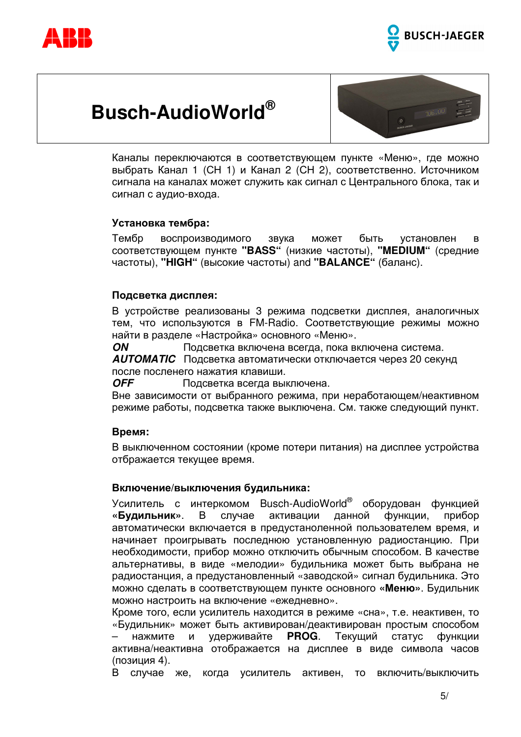





Каналы переключаются в соответствующем пункте «Меню», где можно выбрать Канал 1 (СН 1) и Канал 2 (СН 2), соответственно. Источником сигнала на каналах может служить как сигнал с Центрального блока, так и сигнал с аудио-входа.

#### Установка тембра:

Тембр воспроизводимого звука может быть установлен <sub>R</sub> соответствующем пункте "BASS" (низкие частоты), "MEDIUM" (средние частоты), "HIGH" (высокие частоты) and "BALANCE" (баланс).

#### Подсветка дисплея:

В устройстве реализованы 3 режима подсветки дисплея, аналогичных тем, что используются в FM-Radio. Соответствующие режимы можно найти в разделе «Настройка» основного «Меню».

**ON** Подсветка включена всегда, пока включена система. **AUTOMATIC** Подсветка автоматически отключается через 20 секунд после посленего нажатия клавиши.

**OFF** Подсветка всегда выключена.

Вне зависимости от выбранного режима, при неработающем/неактивном режиме работы, подсветка также выключена. См. также следующий пункт.

#### Время:

В выключенном состоянии (кроме потери питания) на дисплее устройства отбражается текущее время.

#### Включение/выключения будильника:

Усилитель с интеркомом Busch-AudioWorld® оборудован функцией «Будильник». B случае активации данной функции. прибор автоматически включается в предустаноленной пользователем время, и начинает проигрывать последнюю установленную радиостанцию. При необходимости, прибор можно отключить обычным способом. В качестве альтернативы, в виде «мелодии» будильника может быть выбрана не радиостанция, а предустановленный «заводской» сигнал будильника. Это можно сделать в соответствующем пункте основного «Меню». Будильник можно настроить на включение «ежедневно».

Кроме того, если усилитель находится в режиме «сна», т.е. неактивен, то «Будильник» может быть активирован/деактивирован простым способом нажмите И удерживайте PROG. Текущий статус функции активна/неактивна отображается на дисплее в виде символа часов (позиция 4).

В случае же, когда усилитель активен, то включить/выключить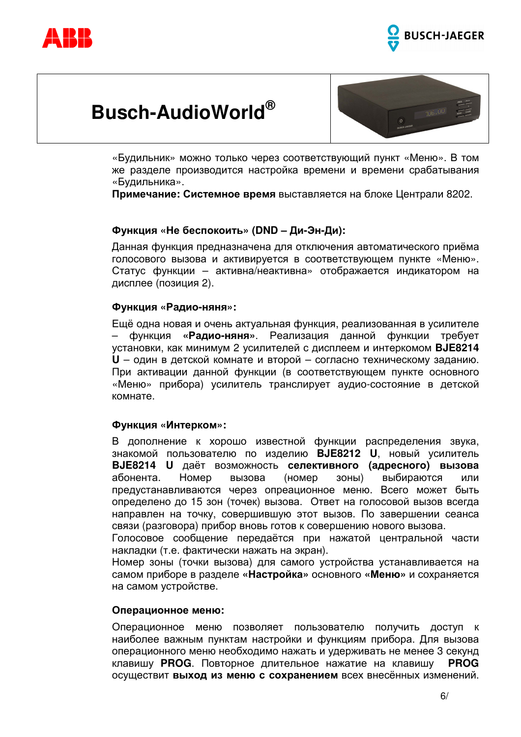





«Будильник» можно только через соответствующий пункт «Меню». В том же разделе производится настройка времени и времени срабатывания «Будильника».

Примечание: Системное время выставляется на блоке Централи 8202.

#### Функция «Не беспокоить» (DND - Ди-Эн-Ди):

Данная функция предназначена для отключения автоматического приёма голосового вызова и активируется в соответствующем пункте «Меню». Статус функции - активна/неактивна» отображается индикатором на дисплее (позиция 2).

#### Функция «Радио-няня»:

Ещё одна новая и очень актуальная функция, реализованная в усилителе «Радио-няня». Реализация данной функции функция требует установки, как минимум 2 усилителей с дисплеем и интеркомом **BJE8214 U** - один в детской комнате и второй - согласно техническому заданию. При активации данной функции (в соответствующем пункте основного «Меню» прибора) усилитель транслирует аудио-состояние в детской комнате.

#### Функция «Интерком»:

В дополнение к хорошо известной функции распределения звука, знакомой пользователю по изделию BJE8212 U, новый усилитель BJE8214 U даёт возможность селективного (адресного) вызова абонента. Номер вызова (номер  $30Hb1)$ выбираются или предустанавливаются через опреационное меню. Всего может быть определено до 15 зон (точек) вызова. Ответ на голосовой вызов всегда направлен на точку, совершившую этот вызов. По завершении сеанса связи (разговора) прибор вновь готов к совершению нового вызова.

Голосовое сообщение передаётся при нажатой центральной части накладки (т.е. фактически нажать на экран).

Номер зоны (точки вызова) для самого устройства устанавливается на самом приборе в разделе «Настройка» основного «Меню» и сохраняется на самом устройстве.

#### Операционное меню:

Операционное меню позволяет пользователю получить доступ к наиболее важным пунктам настройки и функциям прибора. Для вызова операционного меню необходимо нажать и удерживать не менее 3 секунд **PROG** клавишу PROG. Повторное длительное нажатие на клавишу осуществит выход из меню с сохранением всех внесённых изменений.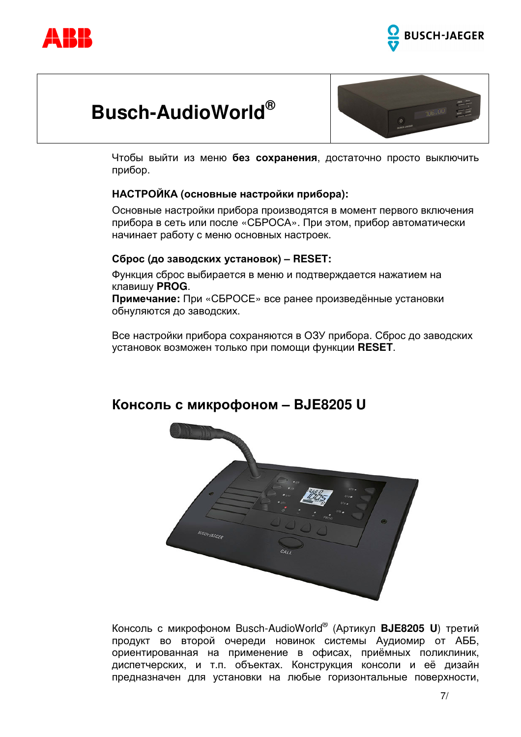





Чтобы выйти из меню без сохранения, достаточно просто выключить прибор.

#### НАСТРОЙКА (основные настройки прибора):

Основные настройки прибора производятся в момент первого включения прибора в сеть или после «СБРОСА». При этом, прибор автоматически начинает работу с меню основных настроек.

#### Сброс (до заводских установок) - RESET:

Функция сброс выбирается в меню и подтверждается нажатием на клавишу PROG.

Примечание: При «СБРОСЕ» все ранее произведённые установки обнуляются до заводских.

Все настройки прибора сохраняются в ОЗУ прибора. Сброс до заводских установок возможен только при помощи функции RESET.



### Консоль с микрофоном - BJE8205 U

Консоль с микрофоном Busch-AudioWorld® (Артикул ВЈЕ8205 U) третий продукт во второй очереди новинок системы Аудиомир от АББ, ориентированная на применение в офисах, приёмных поликлиник, диспетчерских, и т.п. объектах. Конструкция консоли и её дизайн предназначен для установки на любые горизонтальные поверхности,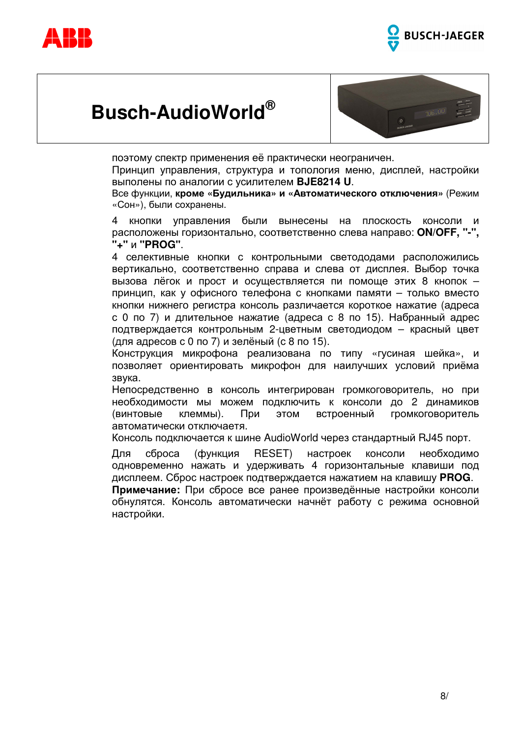





поэтому спектр применения её практически неограничен.

Принцип управления, структура и топология меню, дисплей, настройки выполены по аналогии с усилителем BJE8214 U.

Все функции, кроме «Будильника» и «Автоматического отключения» (Режим «Сон»), были сохранены.

 $\overline{4}$ КНОПКИ управления были вынесены на ПЛОСКОСТЬ консоли  $\boldsymbol{\mathsf{M}}$ расположены горизонтально, соответственно слева направо: **ON/OFF, "-",** "+" и "PROG".

4 селективные кнопки с контрольными светододами расположились вертикально, соответственно справа и слева от дисплея. Выбор точка вызова лёгок и прост и осуществляется пи помоще этих 8 кнопок принцип, как у офисного телефона с кнопками памяти - только вместо кнопки нижнего регистра консоль различается короткое нажатие (адреса с 0 по 7) и длительное нажатие (адреса с 8 по 15). Набранный адрес подтверждается контрольным 2-цветным светодиодом - красный цвет (для адресов с 0 по 7) и зелёный (с 8 по 15).

Конструкция микрофона реализована по типу «гусиная шейка», и позволяет ориентировать микрофон для наилучших условий приёма звука.

Непосредственно в консоль интегрирован громкоговоритель, но при необходимости мы можем подключить к консоли до 2 динамиков (винтовые клеммы). При ЭТОМ встроенный громкоговоритель автоматически отключаетя.

Консоль подключается к шине AudioWorld через стандартный RJ45 порт.

Для сброса (функция RESET) настроек консоли необходимо одновременно нажать и удерживать 4 горизонтальные клавиши под дисплеем. Сброс настроек подтверждается нажатием на клавишу PROG.

Примечание: При сбросе все ранее произведённые настройки консоли обнулятся. Консоль автоматически начнёт работу с режима основной настройки.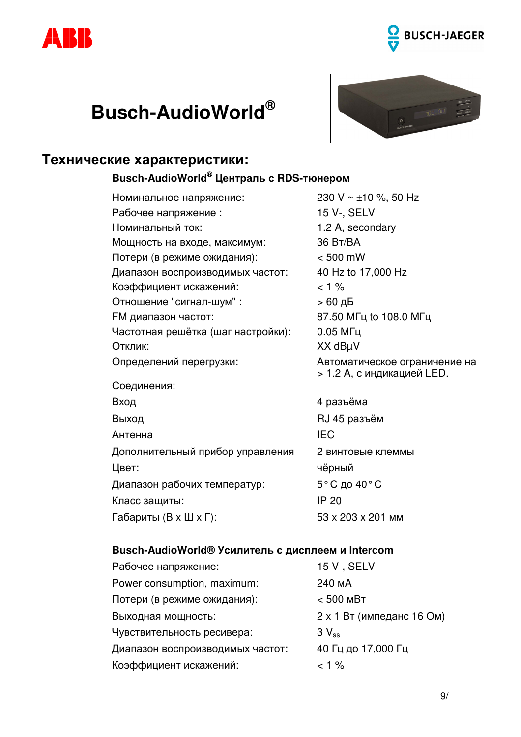





### **Технические характеристики:**

#### Busch-AudioWorld<sup>®</sup> Централь с RDS-тюнером

| Номинальное напряжение:            | 230 V ~ $\pm$ 10 %, 50 Hz                                   |
|------------------------------------|-------------------------------------------------------------|
| Рабочее напряжение:                | 15 V-, SELV                                                 |
| Номинальный ток:                   | 1.2 A, secondary                                            |
| Мощность на входе, максимум:       | 36 BT/BA                                                    |
| Потери (в режиме ожидания):        | $< 500$ mW                                                  |
| Диапазон воспроизводимых частот:   | 40 Hz to 17,000 Hz                                          |
| Коэффициент искажений:             | $< 1 \%$                                                    |
| Отношение "сигнал-шум" :           | > 60 дБ                                                     |
| <b>FM диапазон частот:</b>         | 87.50 МГц to 108.0 МГц                                      |
| Частотная решётка (шаг настройки): | $0.05$ МГц                                                  |
| Отклик:                            | XX dBµV                                                     |
| Определений перегрузки:            | Автоматическое ограничение на<br>> 1.2 A, с индикацией LED. |
| Соединения:                        |                                                             |
| Вход                               | 4 разъёма                                                   |
| Выход                              | RJ 45 разъём                                                |
| Антенна                            | <b>IEC</b>                                                  |
| Дополнительный прибор управления   | 2 винтовые клеммы                                           |
| Цвет:                              | чёрный                                                      |
| Диапазон рабочих температур:       | 5°С до 40°С                                                 |
| Класс защиты:                      | <b>IP 20</b>                                                |
| Габариты (В х Ш х Г):              | 53 x 203 x 201 MM                                           |

#### **Busch-AudioWorld® Усилитель с дисплеем и Intercom**

| Рабочее напряжение:              | 15 V-, SELV               |
|----------------------------------|---------------------------|
| Power consumption, maximum:      | 240 MA                    |
| Потери (в режиме ожидания):      | $< 500$ MBT               |
| Выходная мощность:               | 2 х 1 Вт (импеданс 16 Ом) |
| Чувствительность ресивера:       | $3V_{ss}$                 |
| Диапазон воспроизводимых частот: | 40 Гц до 17,000 Гц        |
| Коэффициент искажений:           | $< 1 \%$                  |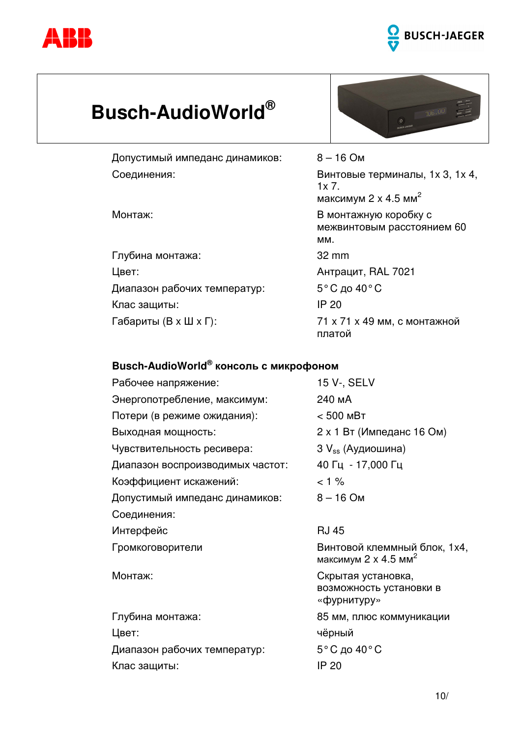



Допустимый импеданс динамиков: Соединения:

Монтаж:

Глубина монтажа: Цвет: Диапазон рабочих температур: Клас защиты: Габариты (В х Ш х Г):



 $8 - 16$  Om Винтовые терминалы, 1х 3, 1х 4,  $1x 7.$ максимум 2 х 4.5 мм<sup>2</sup> В монтажную коробку с межвинтовым расстоянием 60 MM. 32 mm Антрацит, RAL 7021 5°С до 40°С **IP 20** 71 х 71 х 49 мм, с монтажной платой

### Busch-AudioWorld® консоль с микрофоном

| Рабочее напряжение:              | 15 V-, SELV                                                             |
|----------------------------------|-------------------------------------------------------------------------|
| Энергопотребление, максимум:     | 240 MA                                                                  |
| Потери (в режиме ожидания):      | $< 500$ MBT                                                             |
| Выходная мощность:               | 2 х 1 Вт (Импеданс 16 Ом)                                               |
| Чувствительность ресивера:       | 3 V <sub>ss</sub> (Аудиошина)                                           |
| Диапазон воспроизводимых частот: | 40 Гц - 17,000 Гц                                                       |
| Коэффициент искажений:           | $< 1 \%$                                                                |
| Допустимый импеданс динамиков:   | $8 - 16$ Om                                                             |
| Соединения:                      |                                                                         |
| Интерфейс                        | <b>RJ 45</b>                                                            |
| Громкоговорители                 | Винтовой клеммный блок, 1х4,<br>максимум $2 \times 4.5$ мм <sup>2</sup> |
| Монтаж:                          | Скрытая установка,<br>возможность установки в<br>«фурнитуру»            |
| Глубина монтажа:                 | 85 мм, плюс коммуникации                                                |
| Цвет:                            | чёрный                                                                  |
| Диапазон рабочих температур:     | 5°С до 40°С                                                             |
| Клас защиты:                     | <b>IP 20</b>                                                            |
|                                  |                                                                         |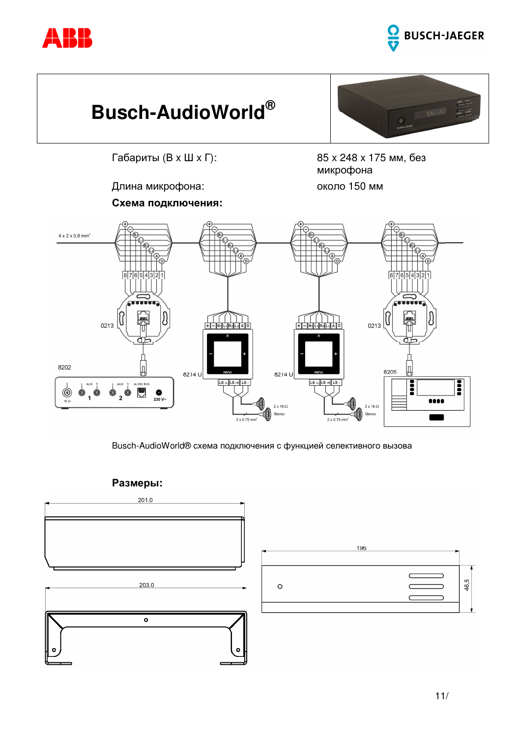





Габариты (В х Ш х Г):

Длина микрофона:

85 х 248 х 175 мм, без микрофона около 150 мм





Busch-AudioWorld® схема подключения с функцией селективного вызова



 $11/$